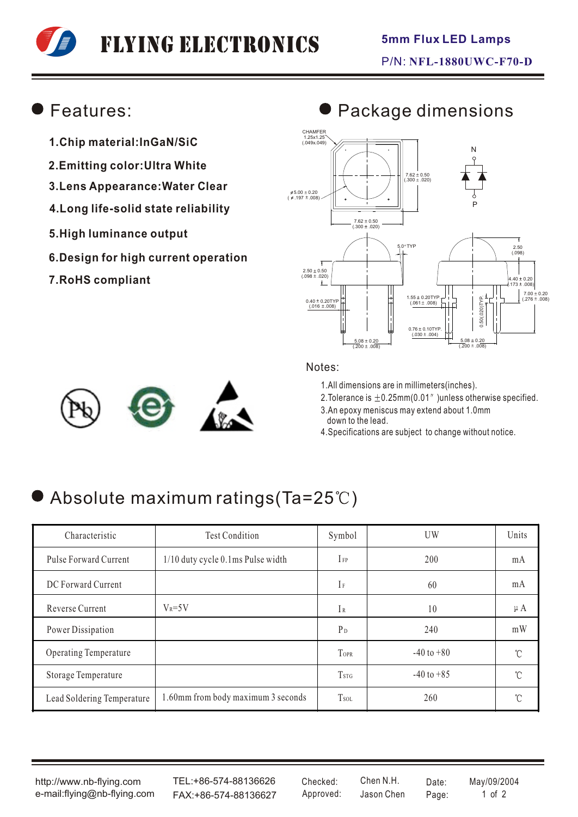# Flying Electronics

### Features:

- **1.Chip material:InGaN/SiC**
- **2.Emitting color:Ultra White**
- **3.Lens Appearance:Water Clear**
- **4.Long life-solid state reliability**
- **5.High luminance output**
- **6.Design for high current operation**
- **7.RoHS compliant**

#### $7.62 \pm 0.50$ <br>(.300  $\pm .020$ ) CHAMFER 1.25x1.25 (.049x.049) 5.00 ± 0.20 \$<br>( 197 ± .008 )  $2.50 \pm 0.50$ <br>(.098  $\pm$  .020) 5.0 TYP  $0.40 \pm 0.20$ TYE  $(0.016 \pm 0.008)$  $(4.40 \pm 0.20)$ <br> $(0.173 \pm 0.008)$  $7.00 \pm 0.20$ <br>(.276 ± .008)  $(0.201 \pm 0.008)$   $(0.061 \pm 0.008)$   $(0.061 \pm 0.008)$   $(0.076 \pm 0.008)$ 0.50(.020)TYP. 0.76 ± 0.10TYP.<br>(030 ± .004)  $\frac{5.08 \pm 0.20}{(.200 \pm .008)}$ 7.62 ± 0.50<br>(300 ± .020) 2.50 (.098)  $\frac{5.08 \pm 0.20}{(.200 \pm .008)}$ P N



### Notes:

1.All dimensions are in millimeters(inches).

2. Tolerance is  $\pm$  0.25mm(0.01" )unless otherwise specified.

- 3.An epoxy meniscus may extend about 1.0mm down to the lead.
- 4.Specifications are subject to change without notice.

# Absolute maximum ratings (Ta=25°C)

| Characteristic             | <b>Test Condition</b>              | Symbol                  | UW             | Units   |
|----------------------------|------------------------------------|-------------------------|----------------|---------|
| Pulse Forward Current      | 1/10 duty cycle 0.1ms Pulse width  | $I_{FP}$                | 200            | mA      |
| DC Forward Current         |                                    | $I_F$                   | 60             | mA      |
| Reverse Current            | $V_R = 5V$                         | IR                      | 10             | $\mu A$ |
| Power Dissipation          |                                    | $P_D$                   | 240            | mW      |
| Operating Temperature      |                                    | TOPR                    | $-40$ to $+80$ | °C      |
| Storage Temperature        |                                    | <b>T</b> <sub>STG</sub> | $-40$ to $+85$ | °C      |
| Lead Soldering Temperature | 1.60mm from body maximum 3 seconds | T <sub>sol</sub>        | 260            | U       |

http://www.nb-flying.com e-mail:flying@nb-flying.com

TEL:+86-574-88136626 FAX:+86-574-88136627 Approved: Jason Chen Page: 1 of 2

Jason Chen Checked: Chen N.H. Date: May/09/2004

# **Package dimensions**